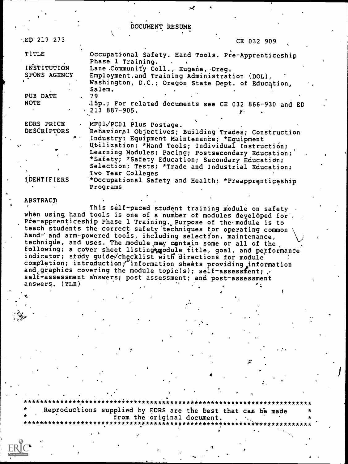DOCUMENT RESUME

| ED 217 273          | CE 032 909                                                                    |
|---------------------|-------------------------------------------------------------------------------|
| <b>TITLE</b>        | Occupational Safety. Hand Tools. Pre-Apprenticeship<br>Phase 1 Training.      |
| INSTITUTION         | Lane Community Coll., Eugene, Oreg.                                           |
| <b>SPONS AGENCY</b> | Employment.and Training Administration (DOL),                                 |
|                     | Washington, D.C.; Oregon State Dept. of Education,<br>Salem.                  |
| PUB DATE            | 79                                                                            |
| <b>NOTE</b>         | .15p.; For related documents see CE 032 866-930 and ED<br>$\vee$ 213 887-905. |
| EDRS PRICE          | MF01/PC01 Plus Postage.                                                       |
| <b>DESCRIPTORS</b>  | Behavioral Objectives; Building Trades; Construction                          |
|                     | Industry; Equipment Maintenance; *Equipment                                   |
|                     | Utilization; *Hand Tools; Individual Instruction;                             |
|                     | Learning Modules; Pacing; Postsecondary Education;                            |
|                     | *Safety; *Safety Education; Secondary Education;                              |
|                     | Selection; Tests; *Trade and Industrial Education;<br>Two Year Colleges       |
| ו העתה ו            |                                                                               |

\*Occupational Safety and Health; \*Preapprenticeship Programs

\*\*\*\*\*\*\*\*\*\*\*\*\*\*\*\*\*\*\*

#### ABSTRACT

This self-paced student training module on safety when using hand tools is one of a number of modules developed for. Pre-apprenticeship Phase 1 Training. Purpose of the module is to<br>teach students the correct safety techniques for operating common hand- and arm-powered tools, including selection, maintenance, technique, and uses. The module may contain some or all of the following: a cover sheet listing module title, goal, and performance indicator; study guide/checklist with directions for module completion; introduction; information sheets providing information and graphics covering the module topic(s); self-assessment;  $\cdot$ selfrassessment answers; post assessment; and post-assessment answers. (YLB)  $\mathbf{r}$ 

Reproductions supplied by EDRS are the best that can be made from the original document. \*\*\*\*\*\*\*\*\*\*\*\*\*\*\*\*\*\*\*\*\*\*\*\*\*\*\*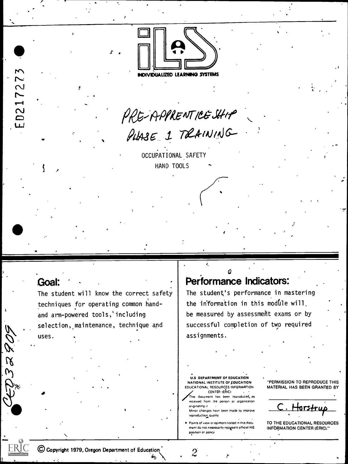

PRE-APPRENTICE SHIP<br>PLASE 1 TRAINING

OCCUPATIONAL SAFETY HAND TOOLS

### Goal:

ED21727

 $\overline{\mathcal{R}}$  $\omega$  The student will know the correct safety techniques for operating common handand arm-powered tools,'including selection, maintenance, technique and uses.

### Performance Indicators:

The student's performance in mastering the information in this module will. be measured by assessment exams or by successful completion of two required assignments.

U.S DEPARTMENT OF EDUCATION NATIONAL INSTITUTE OF EDUCATION EDUCATIONAL RESOURCES INFORMATION CENTER (ERIC)

This document has been reproduced, as received from the person or organization originating it. Minor changes have been made to improve

reproduction quality Points of view or opirhons stated in this document do not necessarily represent official NIE position or policy

 $\overline{2}$ 

"PERMISSION TO REPRODUCE THIS MATERIAL HAS BEEN GRANTED BY

<u>Horstru</u>

TO THE EDUCATIONAL RESOURCES **INFORMATION CENTER (ERIC)."** 

C Copyright 1979, Oregon Department of Education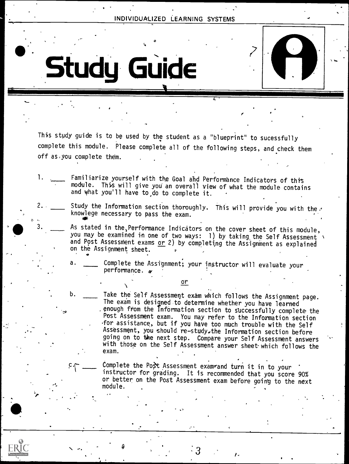o a contra de la contra de la contra de la contra de la contra de la contra de la contra de la contra de la co

Study GUide

 $\mathbf{r} \leftarrow \mathbf{r} \left( \mathbf{r} \right)$ 

" U



This study guide is to be used by the student as a "blueprint" to sucessfully complete this module. Please complete all of the following steps, and check them off as,you complete them.

1. \_\_\_\_ Familiarize yourself with the Goal and Performance Indicators of this module. This will give you an overall view of what the module contains and what you'll have to do to complete it.

 $\delta$  . The contract of the contract of the contract of the contract of the contract of the contract of the contract of the contract of the contract of the contract of the contract of the contract of the contract of the co

- Study the Information section thoroughly. This will provide you with the. knowlege necessary to pass the exam.
- .. 3. As stated in the,Performance Indicators on the cover sheet of this module, you may be examined in one of two ways: 1) by taking the Self Assessment  $\lambda$  and Post Assessment exams or 2) by completing the Assignment as explained on the Assignment sheet.
	- a. \_\_\_\_ Complete the Assignment; your instructor will evaluate your performance.

or

Take the Self Assessment exam which follows the Assignment page. The exam is designed to determine whether you have learned enough from the Information section to successfully complete the Post Assessment exam. You may refer to the Information section for assistance, but if you have too much trouble with the Self Assessment, you should re-study.the Information section before going on to the next step. Compare your Self Assessment answers with those on the Self Assessment answer sheet-which follows the exam.

Complete the Post Assessment exam and turn it in to your instructor for grading. It is recommended that you score 90% or better on the Post Assessment exam before going to the next module.

 $3 \times \frac{1}{2}$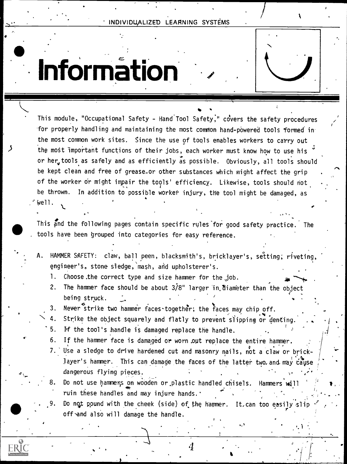## Information

K

This module, "Occupational Safety - Hand Tool Safety," covers the safety procedures for properly handling and maintaining the most common hand-powered tools formed in the most common work sites. Since the use of tools enables workers to carry out the most important functions of their jobs, each worker must know how to use his or her, tools as safely and as efficiently as possible. Obviously, all tools should be kept clean and free of grease-or other substances which might affect the grip of the worker or might impair the tools' efficiency. Likewise, tools should not be thrown. In addition to possible worker injury, the tool might be damaged, as  $\sim$ \_ Well.

**40** tools have been grouped into categories for easy reference. This and the following pages contain specific rules for good safety practice. The

- A. HAMMER SAFETY: claw, ball peen, blacksmith's, bricklayer's, setting; riveting, engineer's, stone sledge, mash, and upholsterer's.
	- 1. Choose the correct type and size hammer for the  $job.$
	- 2. The hammer face should be about  $3/8$ " larger in diameter than the object being struck.
	- 3. Never strike two hammer faces together; the faces may chip off.
	- 4. Strike the object squarely and flatly to prevent slipping or denting.
	- 5. If the tool's handle is damaged replace the handle.
	- 6. If the hammer face is damaged or worn .out replace the entire hammer.
	- 7. Use a sledge to drive hardened cut and masonry nails, not a claw or bricklayer's hammer. This can damage the faces of the latter two and may cause dangerous flying pieces.
	- 8. Do not use hammers on wooden or plastic handled chisels. Hammers will ruin these handles and may injure hands. "
	- Do not pound with the cheek (side) of the hammer. It, can too easily slip off and also will damage the handle.

4

,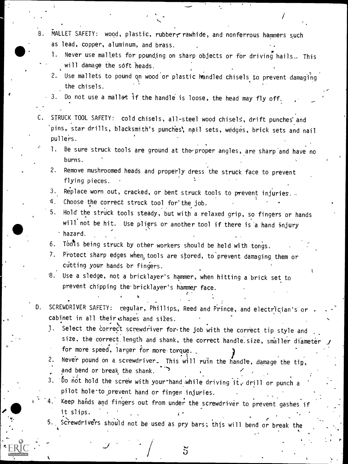- B. MALLET SAFETY: wood, plastic, rubber, rawhide, and nonferrous hammers such as lead, copper, aluminum, and brass.
	- 1. Never use mallets for pounding on sharp objects or for driving nails.. This will damage the soft heads.
	- 2. Use mallets to pound on wood or plastic handled chisels to prevent damaging the chisels.
	- 3. Do not use a mallet if the handle is loose, the head may fly off.
- C. STRUCK TOOL SAFETY: cold chisels, all-steel wood chisels, drift punches'and `pins, star drills, blacksmith's punches\ nail sets, wedges, brick sets and nail pullers.
	- 1. Be sure struck tools are ground at the proper angles, are sharp and have no burns.
	- 2. Remove mushroomed heads and properly dress the struck face to prevent flying pieces.
	- 3. Replace worn out, cracked, or bent struck tools to prevent injuries...
	- 4. Choose the correct struck tool for'the job.

,

- 5. Hold the struck tools steady, but with a relaxed grip, so fingers or hands will not be hit. Use pliers or another tool if there is a hand injury hazard.
- 6. Tools being struck by other workers should be held with tongs.
- 7. Protect sharp edges when, tools are stored, to prevent damaging them or cutting your hands or fingers.
- '8. Use a sledge, not a bricklayer's hammer, when hitting a brick set to prevent chipping the bricklayer's hammer face.
- D. SCREWDRIVER SAFETY: regular, Phillips, Reed and Prince, and electrician's or cabinet in all their shapes and sizes.<br>1. Select the correct screwdriver for
	- Select the correct screwdriver for the job with the correct tip style and size, the correct length and shank, the correct handle size, smaller diameter , for more speed, larger for more torque.
	- 2. Never pound on a screwdriver. This will ruin the handle, damage the tip,  $\sim$ and bend or break the shank.
	- 3.  $6$  not hold the screw with your-hand while driving it, drill or punch a pilot hole'to\_prevent hand or finger injuries.
	- Keep hands and fingers out from under the screwdriver to prevent gashes if it slips.

5

5. Screwdrivers should not be used as pry bars; this will bend or break the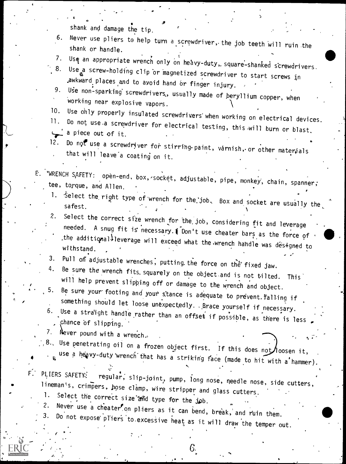shank and damage the tip.

- 6. Never use pliers to help turn a screwdriver, the job teeth will ruin the shank or handle.
- 
- 7. Use an appropriate wrench only on heavy-duty, square-shanked screwdrivers.<br>8. Use a screw-holding clip or magnetized screwdriver to start screws in<br>awkward places and to avoid hand or finger injury.
- 9. Use non-sparking screwdrivers, usually made of beryllium copper, when working near explosive vapors.<br>Use only properly insulated screwdrivers when working on electrical devices.
- 
- 10. Use only properly insulated screwdrivers when working on electrical devic<br>11. Do not use-a screwdriver for electrical testing, this will burn or blast. a piece out of it.
- Do not use a screwdriver for stirring paint, varnish, or other materials that will leave a coating on it.

E. "WRENCH SAFETY: open-end, box, socket, adjustable, pipe, monkey, chain, spanner;

- 1. Select the right type of wrench for the job. Box and socket are usually the safest.
- 2. Select the correct size wrench for the job, considering fit and leverage<br>needed. A snug fit is necessary.1 Don't use cheater bars as the force of the additionallleverage will exceed what the wrench handle was designed to withstand.
- 
- 3. Pull on adjustable wrenches, putting the force on the fixed jaw.<br>4. Be sure the wrench fits squarely on the object and is not tilted. This will help prevent slipping off or damage to the wrench and object.<br>5. Be sure your footing and we use the wrench and object.
- Be sure your footing and your stance is adequate to prevent. Falling if<br>something should let loose unexpectedly. Brace yourself if necessary.
- b. Use a straight handle rather than an offset if possible, as there is less , chance of slipping.

7. Never pound with a wrench.

 $f \left( \begin{array}{ccc} a & b & c \end{array} \right)$ 

 $\cdots$ 

- , 8., Use penetrating oil on a frozen object first. If this does not loosen it,
	- has a striking face (made to hit with a hammer).

P. PLIERS SAFETY: regular, slip-joint, pump, long nose, needle nose, side cutters,<br>lineman's, crimpers, hose clamp, wire stripper and glass cutters.

6.

tr.

- Select the correct size and type for the job.<br>Never use a cheater on pliers as it can bend, break, and ruin them.
- 3. Do not expose pliers to excessive heat as it will draw the temper out.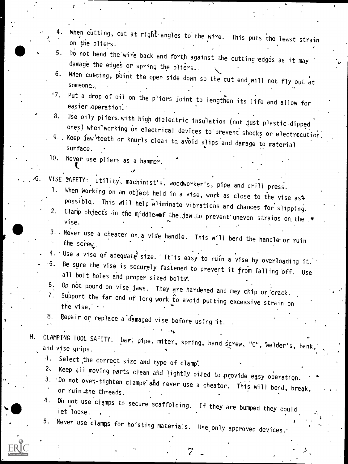|                            | When cutting, cut at right angles to the wire. This puts the least strain<br>on the pliers.                                                                                                             |
|----------------------------|---------------------------------------------------------------------------------------------------------------------------------------------------------------------------------------------------------|
| 5.                         | Do not bend the wire back and forth against the cutting edges as it may<br>damage the edges or spring the pliers                                                                                        |
| 6.                         | When cutting, point the open side down so the cut end will not fly out at<br>someone                                                                                                                    |
| 17.                        | Put a drop of oil on the pliers joint to lengthen its life and allow for<br>easier operation.                                                                                                           |
| 8.                         | Use only pliers with high dielectric insulation (not just plastic-dipped                                                                                                                                |
|                            | ones) when working on electrical devices to prevent shocks or electrocution.<br>9. . Keep $j$ aw teeth or knurls clean to avoid slips and damage to material<br>surface.                                |
| 10.                        | Never use pliers as a hammer.                                                                                                                                                                           |
| ۰G.<br>1.                  | VISE SAFETY: utility, machinist's, woodworker's, pipe and drill press.                                                                                                                                  |
| $2_{\odot}$                | When working on an object held in a vise, work as close to the vise ast<br>possible. This will help eliminate vibrations and chances for slipping.                                                      |
|                            | Clamp objects in the middle of the jaw to prevent uneven strains on the<br>vise.                                                                                                                        |
|                            | 3. Never use a cheater on a vise handle. This will bend the handle or ruin<br>the screw.                                                                                                                |
|                            | 4. Use a vise of adequate size. It is easy to ruin a vise by overloading it.<br>.5. Be sure the vise is securely fastened to prevent it from falling off. Use<br>all bolt holes and proper sized bolts. |
| 6.<br>7.                   | Do not pound on vise jaws. They are hardened and may chip or crack.<br>Support the far end of long work to avoid putting excessive strain on<br>the vise.                                               |
| 8.<br>$\ddot{\phantom{1}}$ | Repair or replace a damaged vise before using it. .                                                                                                                                                     |
| Η.                         | CLAMPING TOOL SAFETY: bar, pipe, miter, spring, hand screw, "C", welder's, bank,<br>and vise grips.                                                                                                     |
| -l.<br>2.                  | Select the correct size and type of clamp.<br>Keep all moving parts clean and lightly oiled to provide easy operation.                                                                                  |
|                            | 3. Do not over-tighten clamps and never use a cheater. This will bend, break,<br>or ruin the threads.                                                                                                   |
| 4.                         | Do not use clamps to secure scaffolding. If they are bumped they could<br>let loose.                                                                                                                    |
|                            | 5. Never use clamps for hoisting materials. Use only approved devices.                                                                                                                                  |
|                            |                                                                                                                                                                                                         |

ER

 $\sum_{\alpha}$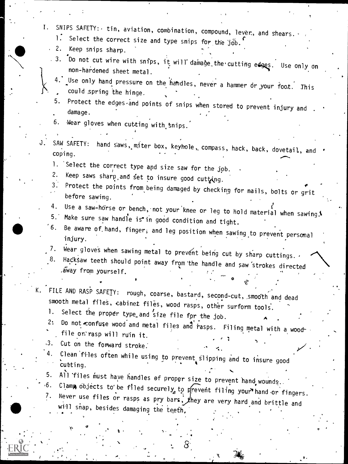I. SNIPS SAFETY: tin, aviation, combination, compound, lever, and shears.  $\blacksquare$  Select the correct size and type snips for the job. . 2. Keep snips sharp.  $.$  3.  $\overline{}$  Do not cut wire with snips, it will damage the cutting edges. Use only on non-hardened sheet metal. Use only hand pressure on the handles, never a hammer or your foot. This could spring the hinge. 5. Protect the edges and points of snips when stored to prevent injury and damage. 6. Wear gloves when cutting with snips. J. SAW SAFETY: hand saws, miter box, keyhole, compass, hack, back, dovetail, and coping. 1. Select the correct type and size saw for the job.<br>2. Keep saws sharp and fot to income 2. Keep saws sharp, and set to insure good cutting.<br>3. Protect the points from being day and the same Protect the points from being damaged by checking for nails, bolts or grit before sawing. 4. Use a saw-horse or bench, not your knee or leg to hold material when sawing. Be aware of hand, finger, and leg position when sawing to prevent personal injury. 7. Wear gloves when sawing metal to prevent being cut by sharp cuttings. ,<br>8. Hacksaw teeth should point away from the handle and saw strokes directed .away from yourself. K. FILE AND RASP SAFETY: rough, coarse, bastard, second-cut, smooth and dead smooth metal files, cabinet files, wood rasps, other surform tools. 1. Select the proper type and size file for the job.<br>2. Do not confuse wood and mater size  $A^{\prime}$ . Do not confuse wood and metal files and rasps. Filing metal with a wood file or' rasp will ruin it. ,3. Cut on the forward stroke. 4. Clean files often while using to prevent slipping and to insure good cutting. 5. All files must have handles of proper size to prevent hand wounds...<br>6. Clamp objects to be filed securely to prevent filing your hand or fingers. 7. Never use files or rasps as pry bars, they are very hard and brittle and  $\frac{W111}{16}$  snap, besides damaging the teeth,  $\frac{1}{16}$  $\ddot{\mathbf{r}}$ 

 $\mathcal{L} = \begin{bmatrix} 1 & 0 & 0 \ 0 & 0 & 0 \end{bmatrix}$ 

t

b.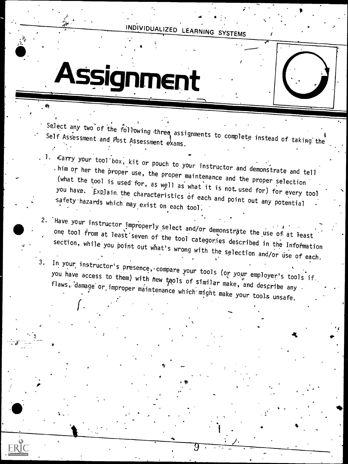$\overline{\mathcal{L}}$ 

# Assignment

 $\bullet$   $\bullet$   $\bullet$ 

Select any two of the following three assignments to complete instead of taking the

- Carry your tool box, kit or pouch to your instructor and demonstrate and tell<br>thim or her the proper use, the proper maintenance and the proper selection<br>(what the tool is used for, as well as what it is not used for) for you have.  $[Exp]$ ain the characteristics of each and point out any potential
- 2. Have your instructor improperly select and/or demonstrate the use of at least<br>one tool from at least seven of the tool categories described in the Information section, while you point out what's wrong with the selection and/or use of each.
- 3. In your instructor's presence, compare your tools (or your employer's tools if. you have access to them) with new tools of similar make, and describe any flaws, damage or improper maintenance which might make your tools unsafe.

es.

.

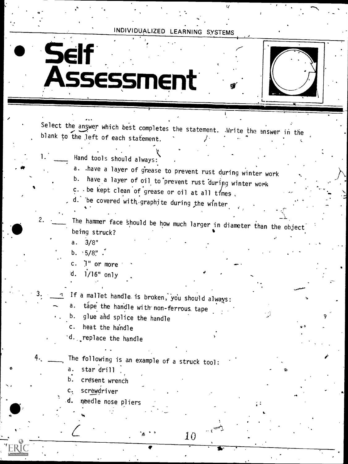## Self Assessment

,

.41

Select the answer which best completes the statement. .Write the answer in the blank to the left of each statement.

- $\bullet$   $\bullet$   $\bullet$ Hand tools should always:
	- a. .have a layer of grease to prevent rust during winter work
	- b. have a layer of oil to prevent rust during winter work
	- $c.$  . be kept clean of grease or oil at all times.

d. be covered with graphite during the winter

The hammer face should be how much larger in diameter than the object being struck?

10

a. 3/8"

b.  $5/8$ ".

c. '1" or more

d.  $1/16"$  only

If a mallet handle is broken, you should always:

tape the handle with non-ferrous tape

b. glue and splice the handle

c. heat the handle

'd. replace the handle

. .

The following is an example of a struck tool:

a. star drill

 $\bullet$  and a set  $\bullet$ 

- b. cresent wrench
- c. screwdriver

 $T$  exicute the contract of  $\overline{C}$ 

needle nose pliers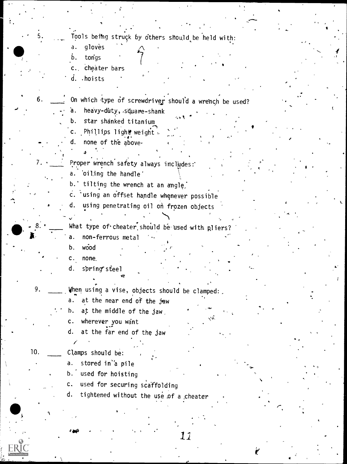... Tools being struck by others should be held with:

\*1-(

- a. gloves
- b. tongs

5:

- c. cheater bars
- d. hoists

6.  $\frac{1}{\sqrt{1-\frac{1}{\sqrt{1-\frac{1}{\sqrt{1-\frac{1}{\sqrt{1-\frac{1}{\sqrt{1-\frac{1}{\sqrt{1-\frac{1}{\sqrt{1-\frac{1}{\sqrt{1-\frac{1}{\sqrt{1-\frac{1}{\sqrt{1-\frac{1}{\sqrt{1-\frac{1}{\sqrt{1-\frac{1}{\sqrt{1-\frac{1}{\sqrt{1-\frac{1}{\sqrt{1-\frac{1}{\sqrt{1-\frac{1}{\sqrt{1-\frac{1}{\sqrt{1-\frac{1}{\sqrt{1-\frac{1}{\sqrt{1-\frac{1}{\sqrt{1-\frac{1}{\sqrt{1-\frac{1}{\sqrt{1-\frac{1}{\sqrt{1-\$ 

 $\mathbf{u} \in \mathbb{R}$  is a set of  $\mathbb{R}$ 

 $\bullet$  .

Ls- 0

#

- a. heavy-duty, square-shank
- b. star shanked titanium
- c. Phillips light weight.
- none of the above-
- 7. <u>Jeeper</u> wrench safety always includes:
	- a. 'oiling the handle'
	- b.' tilting the wrench at an angle.
	- c. using an offset handle whenever possible
	- d. using penetrating oil on frozen objects

What type of cheater should be used with pliers? a. non-ferrous metal

- b. wood
- 
- c. none\_
- d. spring steel
- 9. When using a vise, objects should be clamped:
	- a. at the near end of the jaw
	- h. at the middle of the jaw,
	- c. wherever you want
	- d. at the far end of the jaw

10. Clamps should be:

 $\mathcal{L}$ 

a. stored in<sup>'</sup>a pile

<sup>1</sup> I\*

- b.' used for hoisting
- c. used for securing scaffolding
- d. tightened without the use of a cheater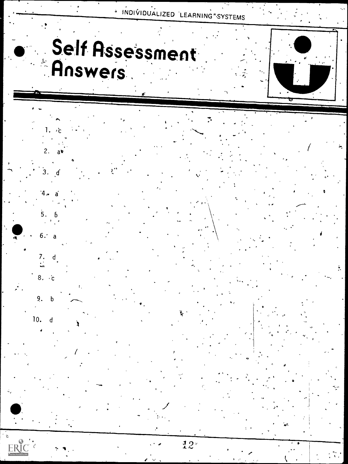## Self Assessment Answers





٠ċ

 $a^*$ 

 $2.$ 







ERIC







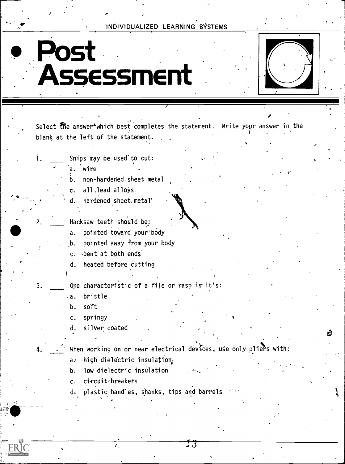## Post Assessment



D'

a

Select the answer<sup>\*</sup>which best completes the statement. Write your answer in the blank at the left of the statement.

Snips may be used'to cut: 1.

a. wire

b. non-hardened sheet metal

c. all.lead alloys.

hardened sheet. metal<sup>®</sup>

2. Hacksaw teeth should be:

a. pointed toward your body

b. pointed away from your body

c. bent at both ends.

d\_ heated before cutting

3. Ope characteristic of a file or rasp is it's:

a. brittle

b. soft

c. springy

d. silver coated

4.  $\cdot$   $\cdot$  When working on or near electrical devices, use only pliers with:

a: high dielectric insulation,

b. low dielectric insulation

c. circuit-breakers

plastic handles, shanks, tips and barrels

13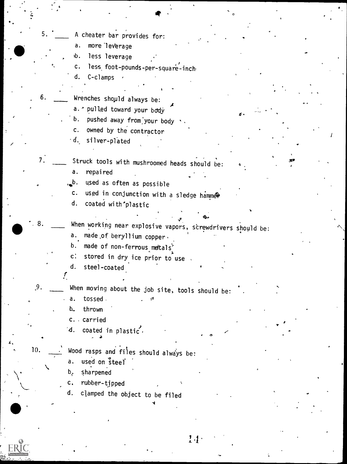5. A cheater bar provides for: a. more'leverage 6. less leverage c. less foot-pounds-per-square-inch d. C-clamps 6. Wrenches shopld always be: a. \* pulled toward your body b. pushed away from your body c. owned by the contractor d. silver-plated 7. \_\_\_\_\_ Struck tools with mushroomed heads should be: a. repaired ...b. used as often as possible c. used in conjunction with a sledge hammer d. coated with'plastic 8.  $\mathbf{z}$  . tion and the second second second second second second second second second second second second second second second second second second second second second second second second second second second second second second  $4<sub>4</sub>$   $4<sub>4</sub>$ When working near explosive vapors, screwdrivers should be: a. made,of beryllium copper, b. made of non-ferrous metals<sup>\*</sup> c: stored in dry ice prior to use d. steel-coated. r 9. When moving about the job site, tools should be: a. tossed b. thrown c. . carried  $\sqrt{d}$ . coated in plastic. e 10.  $\overrightarrow{ }$  Wood rasps and files should always be: a. used on steel b. sharpened c. rubber-tipped d. clamped the object to be filed

0

 $1.4 \cdot$ 

4